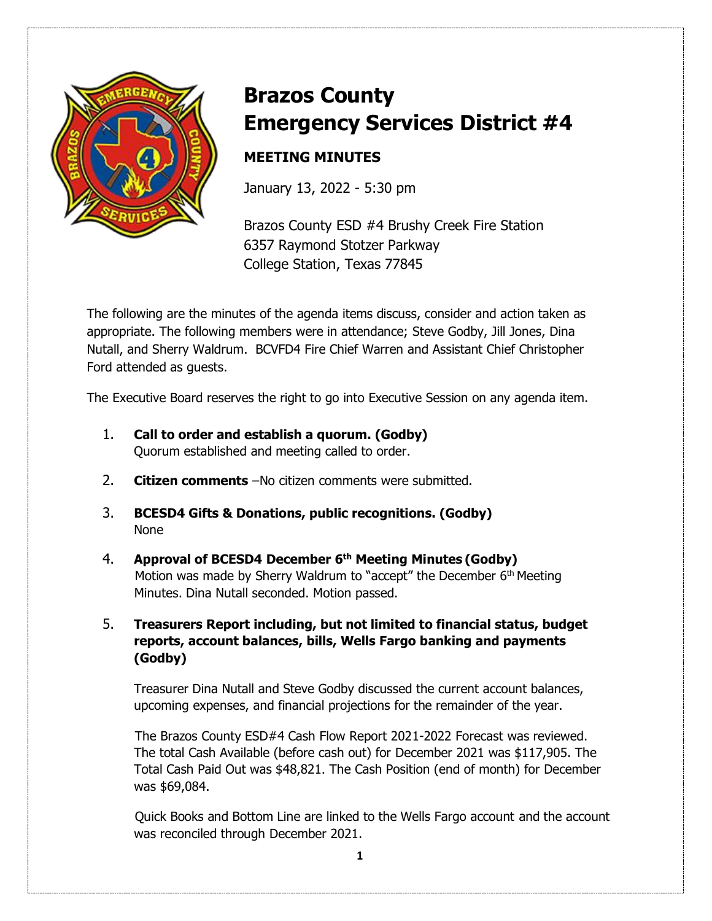

# **Brazos County Emergency Services District #4**

# **MEETING MINUTES**

January 13, 2022 - 5:30 pm

Brazos County ESD #4 Brushy Creek Fire Station 6357 Raymond Stotzer Parkway College Station, Texas 77845

The following are the minutes of the agenda items discuss, consider and action taken as appropriate. The following members were in attendance; Steve Godby, Jill Jones, Dina Nutall, and Sherry Waldrum. BCVFD4 Fire Chief Warren and Assistant Chief Christopher Ford attended as guests.

The Executive Board reserves the right to go into Executive Session on any agenda item.

- 1. **Call to order and establish a quorum. (Godby)** Quorum established and meeting called to order.
- 2. **Citizen comments** –No citizen comments were submitted.
- 3. **BCESD4 Gifts & Donations, public recognitions. (Godby)**  None
- 4. **Approval of BCESD4 December 6th Meeting Minutes (Godby)** Motion was made by Sherry Waldrum to "accept" the December 6<sup>th</sup> Meeting Minutes. Dina Nutall seconded. Motion passed.

### 5. **Treasurers Report including, but not limited to financial status, budget reports, account balances, bills, Wells Fargo banking and payments (Godby)**

Treasurer Dina Nutall and Steve Godby discussed the current account balances, upcoming expenses, and financial projections for the remainder of the year.

The Brazos County ESD#4 Cash Flow Report 2021-2022 Forecast was reviewed. The total Cash Available (before cash out) for December 2021 was \$117,905. The Total Cash Paid Out was \$48,821. The Cash Position (end of month) for December was \$69,084.

 Quick Books and Bottom Line are linked to the Wells Fargo account and the account was reconciled through December 2021.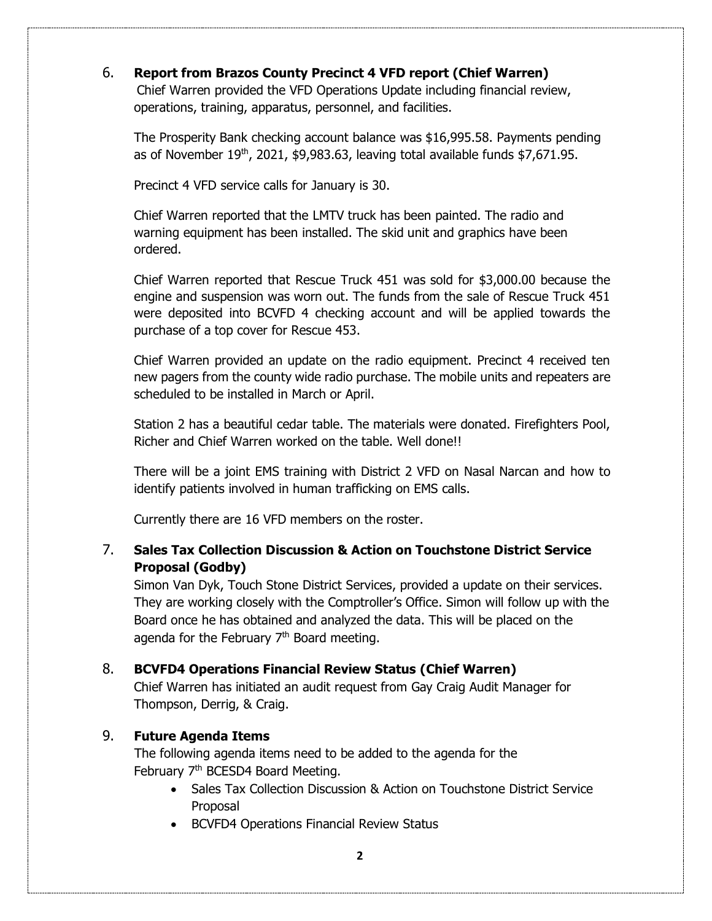#### 6. **Report from Brazos County Precinct 4 VFD report (Chief Warren)**

 Chief Warren provided the VFD Operations Update including financial review, operations, training, apparatus, personnel, and facilities.

The Prosperity Bank checking account balance was \$16,995.58. Payments pending as of November  $19<sup>th</sup>$ , 2021, \$9,983.63, leaving total available funds \$7,671.95.

Precinct 4 VFD service calls for January is 30.

Chief Warren reported that the LMTV truck has been painted. The radio and warning equipment has been installed. The skid unit and graphics have been ordered.

Chief Warren reported that Rescue Truck 451 was sold for \$3,000.00 because the engine and suspension was worn out. The funds from the sale of Rescue Truck 451 were deposited into BCVFD 4 checking account and will be applied towards the purchase of a top cover for Rescue 453.

Chief Warren provided an update on the radio equipment. Precinct 4 received ten new pagers from the county wide radio purchase. The mobile units and repeaters are scheduled to be installed in March or April.

Station 2 has a beautiful cedar table. The materials were donated. Firefighters Pool, Richer and Chief Warren worked on the table. Well done!!

There will be a joint EMS training with District 2 VFD on Nasal Narcan and how to identify patients involved in human trafficking on EMS calls.

Currently there are 16 VFD members on the roster.

## 7. **Sales Tax Collection Discussion & Action on Touchstone District Service Proposal (Godby)**

Simon Van Dyk, Touch Stone District Services, provided a update on their services. They are working closely with the Comptroller's Office. Simon will follow up with the Board once he has obtained and analyzed the data. This will be placed on the agenda for the February  $7<sup>th</sup>$  Board meeting.

#### 8. **BCVFD4 Operations Financial Review Status (Chief Warren)**

Chief Warren has initiated an audit request from Gay Craig Audit Manager for Thompson, Derrig, & Craig.

#### 9. **Future Agenda Items**

 The following agenda items need to be added to the agenda for the February 7<sup>th</sup> BCESD4 Board Meeting.

- Sales Tax Collection Discussion & Action on Touchstone District Service Proposal
- BCVFD4 Operations Financial Review Status